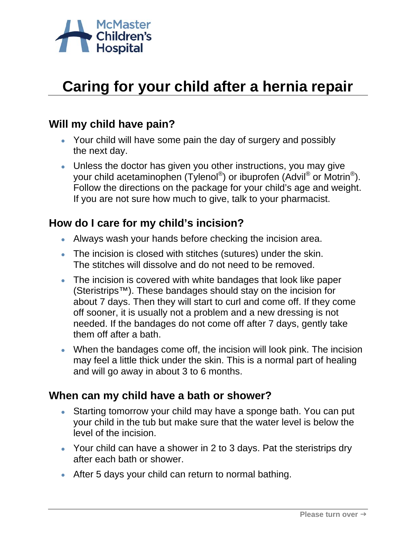

# **Caring for your child after a hernia repair**

### **Will my child have pain?**

- Your child will have some pain the day of surgery and possibly the next day.
- Unless the doctor has given you other instructions, you may give your child acetaminophen (Tylenol®) or ibuprofen (Advil® or Motrin®). Follow the directions on the package for your child's age and weight. If you are not sure how much to give, talk to your pharmacist.

### **How do I care for my child's incision?**

- Always wash your hands before checking the incision area.
- The incision is closed with stitches (sutures) under the skin. The stitches will dissolve and do not need to be removed.
- The incision is covered with white bandages that look like paper (Steristrips™). These bandages should stay on the incision for about 7 days. Then they will start to curl and come off. If they come off sooner, it is usually not a problem and a new dressing is not needed. If the bandages do not come off after 7 days, gently take them off after a bath.
- When the bandages come off, the incision will look pink. The incision may feel a little thick under the skin. This is a normal part of healing and will go away in about 3 to 6 months.

#### **When can my child have a bath or shower?**

- Starting tomorrow your child may have a sponge bath. You can put your child in the tub but make sure that the water level is below the level of the incision.
- Your child can have a shower in 2 to 3 days. Pat the steristrips dry after each bath or shower.
- After 5 days your child can return to normal bathing.